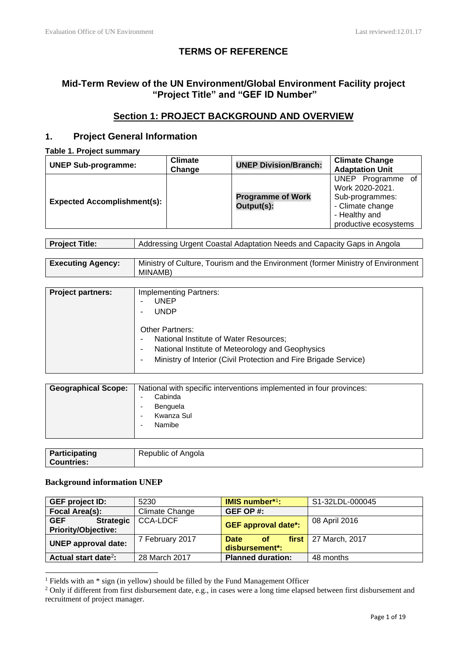# **TERMS OF REFERENCE**

# **Mid-Term Review of the UN Environment/Global Environment Facility project "Project Title" and "GEF ID Number"**

# **Section 1: PROJECT BACKGROUND AND OVERVIEW**

# **1. Project General Information**

**Table 1. Project summary**

| <b>UNEP Sub-programme:</b>         | <b>Climate</b><br>Change | <b>UNEP Division/Branch:</b>           | <b>Climate Change</b><br><b>Adaptation Unit</b>                                                                       |
|------------------------------------|--------------------------|----------------------------------------|-----------------------------------------------------------------------------------------------------------------------|
| <b>Expected Accomplishment(s):</b> |                          | <b>Programme of Work</b><br>Output(s): | UNEP Programme of<br>Work 2020-2021.<br>Sub-programmes:<br>- Climate change<br>- Healthy and<br>productive ecosystems |

| <b>Executing Agency:</b> | Ministry of Culture, Tourism and the Environment (former Ministry of Environment |
|--------------------------|----------------------------------------------------------------------------------|
|                          | MINAMB)                                                                          |

| <b>Project partners:</b> | <b>Implementing Partners:</b>                                    |
|--------------------------|------------------------------------------------------------------|
|                          | <b>UNEP</b>                                                      |
|                          | <b>UNDP</b>                                                      |
|                          | <b>Other Partners:</b>                                           |
|                          | National Institute of Water Resources;                           |
|                          | National Institute of Meteorology and Geophysics                 |
|                          | Ministry of Interior (Civil Protection and Fire Brigade Service) |

| <b>Geographical Scope:</b><br>National with specific interventions implemented in four provinces:<br>Cabinda<br>Benguela<br>Kwanza Sul<br>Namibe |
|--------------------------------------------------------------------------------------------------------------------------------------------------|
|--------------------------------------------------------------------------------------------------------------------------------------------------|

| Participating     | Republic of Angola |
|-------------------|--------------------|
| <b>Countries:</b> |                    |

# **Background information UNEP**

| <b>GEF project ID:</b>                                       | 5230            | <b>IMIS number*1:</b>                        | S1-32LDL-000045        |
|--------------------------------------------------------------|-----------------|----------------------------------------------|------------------------|
| Focal Area(s):                                               | Climate Change  | GEF OP #:                                    |                        |
| <b>GEF</b><br><b>Strategic</b><br><b>Priority/Objective:</b> | CCA-LDCF        | <b>GEF approval date*:</b>                   | 08 April 2016          |
| <b>UNEP approval date:</b>                                   | 7 February 2017 | <b>Date</b><br>of <b>o</b><br>disbursement*: | $first$ 27 March, 2017 |
| Actual start date <sup>2</sup> :                             | 28 March 2017   | <b>Planned duration:</b>                     | 48 months              |

<sup>&</sup>lt;sup>1</sup> Fields with an \* sign (in yellow) should be filled by the Fund Management Officer

<sup>&</sup>lt;sup>2</sup> Only if different from first disbursement date, e.g., in cases were a long time elapsed between first disbursement and recruitment of project manager.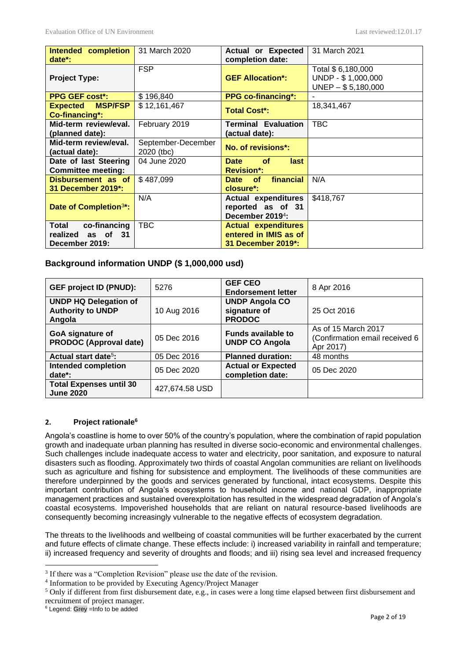| Intended completion<br>date*:                             | 31 March 2020                    | <b>Actual or Expected</b><br>completion date:                                   | 31 March 2021                                                    |
|-----------------------------------------------------------|----------------------------------|---------------------------------------------------------------------------------|------------------------------------------------------------------|
| <b>Project Type:</b>                                      | <b>FSP</b>                       | <b>GEF Allocation*:</b>                                                         | Total \$ 6,180,000<br>UNDP - \$1,000,000<br>$UNEP - $ 5,180,000$ |
| <b>PPG GEF cost*:</b>                                     | \$196,840                        | <b>PPG co-financing*:</b>                                                       |                                                                  |
| <b>Expected MSP/FSP</b><br>Co-financing*:                 | \$12,161,467                     | <b>Total Cost*:</b>                                                             | 18,341,467                                                       |
| Mid-term review/eval.<br>(planned date):                  | February 2019                    | <b>Terminal Evaluation</b><br>(actual date):                                    | <b>TBC</b>                                                       |
| Mid-term review/eval.<br>(actual date):                   | September-December<br>2020 (tbc) | No. of revisions*:                                                              |                                                                  |
| Date of last Steering<br><b>Committee meeting:</b>        | 04 June 2020                     | <b>Date</b><br><b>of</b><br><b>last</b><br><b>Revision*:</b>                    |                                                                  |
| Disbursement as of<br>31 December 2019*:                  | \$487,099                        | financial<br>Date of<br>closure*:                                               | N/A                                                              |
| Date of Completion <sup>3*</sup> :                        | N/A                              | <b>Actual expenditures</b><br>reported as of 31<br>December 2019 <sup>4</sup> : | \$418,767                                                        |
| Total co-financing<br>realized as of 31<br>December 2019: | <b>TBC</b>                       | <b>Actual expenditures</b><br>entered in IMIS as of<br>31 December 2019*:       |                                                                  |

# **Background information UNDP (\$ 1,000,000 usd)**

| <b>GEF project ID (PNUD):</b>                                      | 5276           | <b>GEF CEO</b><br><b>Endorsement letter</b>            | 8 Apr 2016                                                         |
|--------------------------------------------------------------------|----------------|--------------------------------------------------------|--------------------------------------------------------------------|
| <b>UNDP HQ Delegation of</b><br><b>Authority to UNDP</b><br>Angola | 10 Aug 2016    | <b>UNDP Angola CO</b><br>signature of<br><b>PRODOC</b> | 25 Oct 2016                                                        |
| GoA signature of<br><b>PRODOC (Approval date)</b>                  | 05 Dec 2016    | <b>Funds available to</b><br><b>UNDP CO Angola</b>     | As of 15 March 2017<br>(Confirmation email received 6<br>Apr 2017) |
| Actual start date <sup>5</sup> :                                   | 05 Dec 2016    | <b>Planned duration:</b>                               | 48 months                                                          |
| <b>Intended completion</b><br>date*:                               | 05 Dec 2020    | <b>Actual or Expected</b><br>completion date:          | 05 Dec 2020                                                        |
| <b>Total Expenses until 30</b><br><b>June 2020</b>                 | 427,674.58 USD |                                                        |                                                                    |

# **2. Project rationale<sup>6</sup>**

Angola's coastline is home to over 50% of the country's population, where the combination of rapid population growth and inadequate urban planning has resulted in diverse socio-economic and environmental challenges. Such challenges include inadequate access to water and electricity, poor sanitation, and exposure to natural disasters such as flooding. Approximately two thirds of coastal Angolan communities are reliant on livelihoods such as agriculture and fishing for subsistence and employment. The livelihoods of these communities are therefore underpinned by the goods and services generated by functional, intact ecosystems. Despite this important contribution of Angola's ecosystems to household income and national GDP, inappropriate management practices and sustained overexploitation has resulted in the widespread degradation of Angola's coastal ecosystems. Impoverished households that are reliant on natural resource-based livelihoods are consequently becoming increasingly vulnerable to the negative effects of ecosystem degradation.

The threats to the livelihoods and wellbeing of coastal communities will be further exacerbated by the current and future effects of climate change. These effects include: i) increased variability in rainfall and temperature; ii) increased frequency and severity of droughts and floods; and iii) rising sea level and increased frequency

<sup>&</sup>lt;sup>3</sup> If there was a "Completion Revision" please use the date of the revision.

<sup>4</sup> Information to be provided by Executing Agency/Project Manager

<sup>&</sup>lt;sup>5</sup> Only if different from first disbursement date, e.g., in cases were a long time elapsed between first disbursement and recruitment of project manager.

<sup>6</sup> Legend: Grey =Info to be added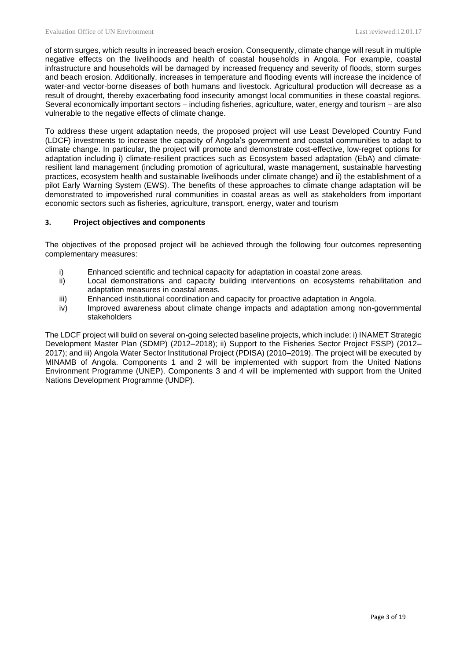of storm surges, which results in increased beach erosion. Consequently, climate change will result in multiple negative effects on the livelihoods and health of coastal households in Angola. For example, coastal infrastructure and households will be damaged by increased frequency and severity of floods, storm surges and beach erosion. Additionally, increases in temperature and flooding events will increase the incidence of water-and vector-borne diseases of both humans and livestock. Agricultural production will decrease as a result of drought, thereby exacerbating food insecurity amongst local communities in these coastal regions. Several economically important sectors – including fisheries, agriculture, water, energy and tourism – are also vulnerable to the negative effects of climate change.

To address these urgent adaptation needs, the proposed project will use Least Developed Country Fund (LDCF) investments to increase the capacity of Angola's government and coastal communities to adapt to climate change. In particular, the project will promote and demonstrate cost-effective, low-regret options for adaptation including i) climate-resilient practices such as Ecosystem based adaptation (EbA) and climateresilient land management (including promotion of agricultural, waste management, sustainable harvesting practices, ecosystem health and sustainable livelihoods under climate change) and ii) the establishment of a pilot Early Warning System (EWS). The benefits of these approaches to climate change adaptation will be demonstrated to impoverished rural communities in coastal areas as well as stakeholders from important economic sectors such as fisheries, agriculture, transport, energy, water and tourism

#### **3. Project objectives and components**

The objectives of the proposed project will be achieved through the following four outcomes representing complementary measures:

- i) Enhanced scientific and technical capacity for adaptation in coastal zone areas.
- ii) Local demonstrations and capacity building interventions on ecosystems rehabilitation and adaptation measures in coastal areas.
- iii) Enhanced institutional coordination and capacity for proactive adaptation in Angola.
- iv) Improved awareness about climate change impacts and adaptation among non-governmental stakeholders

The LDCF project will build on several on-going selected baseline projects, which include: i) INAMET Strategic Development Master Plan (SDMP) (2012–2018); ii) Support to the Fisheries Sector Project FSSP) (2012– 2017); and iii) Angola Water Sector Institutional Project (PDISA) (2010–2019). The project will be executed by MINAMB of Angola. Components 1 and 2 will be implemented with support from the United Nations Environment Programme (UNEP). Components 3 and 4 will be implemented with support from the United Nations Development Programme (UNDP).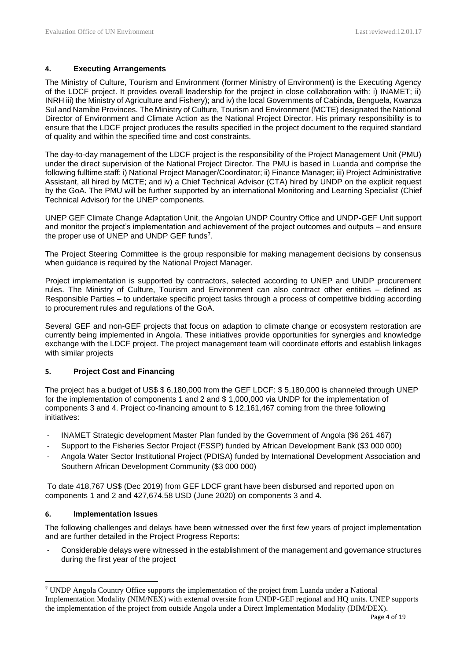## **4. Executing Arrangements**

The Ministry of Culture, Tourism and Environment (former Ministry of Environment) is the Executing Agency of the LDCF project. It provides overall leadership for the project in close collaboration with: i) INAMET; ii) INRH iii) the Ministry of Agriculture and Fishery); and iv) the local Governments of Cabinda, Benguela, Kwanza Sul and Namibe Provinces. The Ministry of Culture, Tourism and Environment (MCTE) designated the National Director of Environment and Climate Action as the National Project Director. His primary responsibility is to ensure that the LDCF project produces the results specified in the project document to the required standard of quality and within the specified time and cost constraints.

The day-to-day management of the LDCF project is the responsibility of the Project Management Unit (PMU) under the direct supervision of the National Project Director. The PMU is based in Luanda and comprise the following fulltime staff: i) National Project Manager/Coordinator; ii) Finance Manager; iii) Project Administrative Assistant, all hired by MCTE; and iv) a Chief Technical Advisor (CTA) hired by UNDP on the explicit request by the GoA. The PMU will be further supported by an international Monitoring and Learning Specialist (Chief Technical Advisor) for the UNEP components.

UNEP GEF Climate Change Adaptation Unit, the Angolan UNDP Country Office and UNDP-GEF Unit support and monitor the project's implementation and achievement of the project outcomes and outputs – and ensure the proper use of UNEP and UNDP GEF funds<sup>7</sup>.

The Project Steering Committee is the group responsible for making management decisions by consensus when guidance is required by the National Project Manager.

Project implementation is supported by contractors, selected according to UNEP and UNDP procurement rules. The Ministry of Culture, Tourism and Environment can also contract other entities – defined as Responsible Parties – to undertake specific project tasks through a process of competitive bidding according to procurement rules and regulations of the GoA.

Several GEF and non-GEF projects that focus on adaption to climate change or ecosystem restoration are currently being implemented in Angola. These initiatives provide opportunities for synergies and knowledge exchange with the LDCF project. The project management team will coordinate efforts and establish linkages with similar projects

# **5. Project Cost and Financing**

The project has a budget of US\$ \$ 6,180,000 from the GEF LDCF: \$ 5,180,000 is channeled through UNEP for the implementation of components 1 and 2 and \$ 1,000,000 via UNDP for the implementation of components 3 and 4. Project co-financing amount to \$ 12,161,467 coming from the three following initiatives:

- INAMET Strategic development Master Plan funded by the Government of Angola (\$6 261 467)
- Support to the Fisheries Sector Project (FSSP) funded by African Development Bank (\$3 000 000)
- Angola Water Sector Institutional Project (PDISA) funded by International Development Association and Southern African Development Community (\$3 000 000)

To date 418,767 US\$ (Dec 2019) from GEF LDCF grant have been disbursed and reported upon on components 1 and 2 and 427,674.58 USD (June 2020) on components 3 and 4.

# **6. Implementation Issues**

The following challenges and delays have been witnessed over the first few years of project implementation and are further detailed in the Project Progress Reports:

- Considerable delays were witnessed in the establishment of the management and governance structures during the first year of the project

<sup>7</sup> UNDP Angola Country Office supports the implementation of the project from Luanda under a National Implementation Modality (NIM/NEX) with external oversite from UNDP-GEF regional and HQ units. UNEP supports the implementation of the project from outside Angola under a Direct Implementation Modality (DIM/DEX).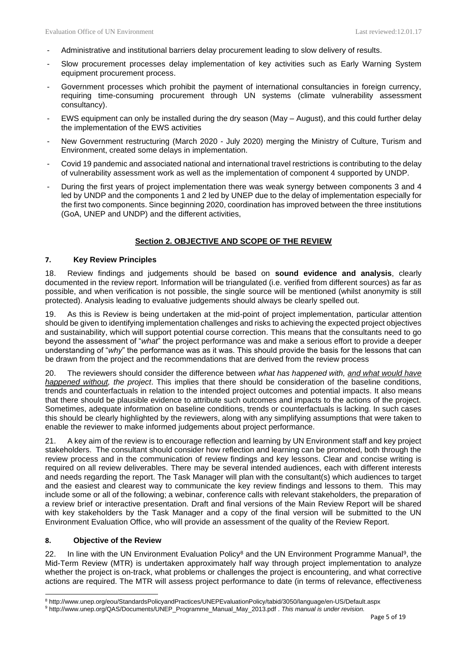- Administrative and institutional barriers delay procurement leading to slow delivery of results.
- Slow procurement processes delay implementation of key activities such as Early Warning System equipment procurement process.
- Government processes which prohibit the payment of international consultancies in foreign currency, requiring time-consuming procurement through UN systems (climate vulnerability assessment consultancy).
- EWS equipment can only be installed during the dry season (May August), and this could further delay the implementation of the EWS activities
- New Government restructuring (March 2020 July 2020) merging the Ministry of Culture, Turism and Environment, created some delays in implementation.
- Covid 19 pandemic and associated national and international travel restrictions is contributing to the delay of vulnerability assessment work as well as the implementation of component 4 supported by UNDP.
- During the first years of project implementation there was weak synergy between components 3 and 4 led by UNDP and the components 1 and 2 led by UNEP due to the delay of implementation especially for the first two components. Since beginning 2020, coordination has improved between the three institutions (GoA, UNEP and UNDP) and the different activities,

# **Section 2. OBJECTIVE AND SCOPE OF THE REVIEW**

### **7. Key Review Principles**

18. Review findings and judgements should be based on **sound evidence and analysis**, clearly documented in the review report. Information will be triangulated (i.e. verified from different sources) as far as possible, and when verification is not possible, the single source will be mentioned (whilst anonymity is still protected). Analysis leading to evaluative judgements should always be clearly spelled out.

19. As this is Review is being undertaken at the mid-point of project implementation, particular attention should be given to identifying implementation challenges and risks to achieving the expected project objectives and sustainability, which will support potential course correction. This means that the consultants need to go beyond the assessment of "*what*" the project performance was and make a serious effort to provide a deeper understanding of "*why*" the performance was as it was. This should provide the basis for the lessons that can be drawn from the project and the recommendations that are derived from the review process

20. The reviewers should consider the difference between *what has happened with, and what would have happened without, the project*. This implies that there should be consideration of the baseline conditions, trends and counterfactuals in relation to the intended project outcomes and potential impacts. It also means that there should be plausible evidence to attribute such outcomes and impacts to the actions of the project. Sometimes, adequate information on baseline conditions, trends or counterfactuals is lacking. In such cases this should be clearly highlighted by the reviewers, along with any simplifying assumptions that were taken to enable the reviewer to make informed judgements about project performance.

21. A key aim of the review is to encourage reflection and learning by UN Environment staff and key project stakeholders. The consultant should consider how reflection and learning can be promoted, both through the review process and in the communication of review findings and key lessons. Clear and concise writing is required on all review deliverables. There may be several intended audiences, each with different interests and needs regarding the report. The Task Manager will plan with the consultant(s) which audiences to target and the easiest and clearest way to communicate the key review findings and lessons to them. This may include some or all of the following; a webinar, conference calls with relevant stakeholders, the preparation of a review brief or interactive presentation. Draft and final versions of the Main Review Report will be shared with key stakeholders by the Task Manager and a copy of the final version will be submitted to the UN Environment Evaluation Office, who will provide an assessment of the quality of the Review Report.

#### **8. Objective of the Review**

22. In line with the UN Environment Evaluation Policy<sup>8</sup> and the UN Environment Programme Manual<sup>9</sup>, the Mid-Term Review (MTR) is undertaken approximately half way through project implementation to analyze whether the project is on-track, what problems or challenges the project is encountering, and what corrective actions are required. The MTR will assess project performance to date (in terms of relevance, effectiveness

<sup>8</sup> http://www.unep.org/eou/StandardsPolicyandPractices/UNEPEvaluationPolicy/tabid/3050/language/en-US/Default.aspx

<sup>9</sup> [http://www.unep.org/QAS/Documents/UNEP\\_Programme\\_Manual\\_May\\_2013.pdf](http://www.unep.org/QAS/Documents/UNEP_Programme_Manual_May_2013.pdf) . This manual is under revision.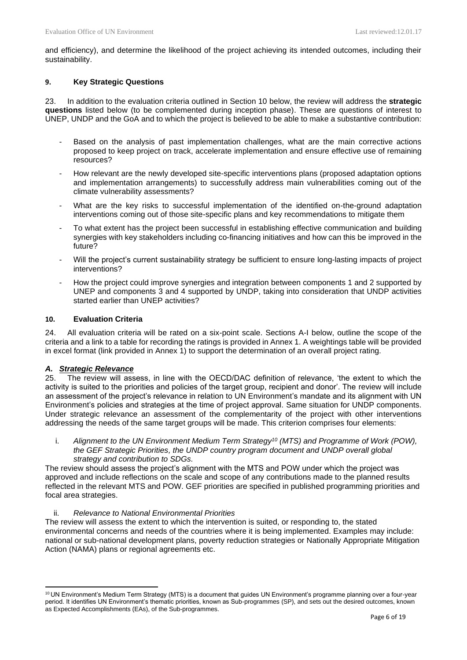and efficiency), and determine the likelihood of the project achieving its intended outcomes, including their sustainability.

### **9. Key Strategic Questions**

23. In addition to the evaluation criteria outlined in Section 10 below, the review will address the **strategic questions** listed below (to be complemented during inception phase). These are questions of interest to UNEP, UNDP and the GoA and to which the project is believed to be able to make a substantive contribution:

- Based on the analysis of past implementation challenges, what are the main corrective actions proposed to keep project on track, accelerate implementation and ensure effective use of remaining resources?
- How relevant are the newly developed site-specific interventions plans (proposed adaptation options and implementation arrangements) to successfully address main vulnerabilities coming out of the climate vulnerability assessments?
- What are the key risks to successful implementation of the identified on-the-ground adaptation interventions coming out of those site-specific plans and key recommendations to mitigate them
- To what extent has the project been successful in establishing effective communication and building synergies with key stakeholders including co-financing initiatives and how can this be improved in the future?
- Will the project's current sustainability strategy be sufficient to ensure long-lasting impacts of project interventions?
- How the project could improve synergies and integration between components 1 and 2 supported by UNEP and components 3 and 4 supported by UNDP, taking into consideration that UNDP activities started earlier than UNEP activities?

#### **10. Evaluation Criteria**

24. All evaluation criteria will be rated on a six-point scale. Sections A-I below, outline the scope of the criteria and a link to a table for recording the ratings is provided in Annex 1. A weightings table will be provided in excel format (link provided in Annex 1) to support the determination of an overall project rating.

#### *A. Strategic Relevance*

25. The review will assess, in line with the OECD/DAC definition of relevance, 'the extent to which the activity is suited to the priorities and policies of the target group, recipient and donor'. The review will include an assessment of the project's relevance in relation to UN Environment's mandate and its alignment with UN Environment's policies and strategies at the time of project approval. Same situation for UNDP components. Under strategic relevance an assessment of the complementarity of the project with other interventions addressing the needs of the same target groups will be made. This criterion comprises four elements:

i. *Alignment to the UN Environment Medium Term Strategy<sup>10</sup> (MTS) and Programme of Work (POW), the GEF Strategic Priorities, the UNDP country program document and UNDP overall global strategy and contribution to SDGs.*

The review should assess the project's alignment with the MTS and POW under which the project was approved and include reflections on the scale and scope of any contributions made to the planned results reflected in the relevant MTS and POW. GEF priorities are specified in published programming priorities and focal area strategies.

#### ii. *Relevance to National Environmental Priorities*

The review will assess the extent to which the intervention is suited, or responding to, the stated environmental concerns and needs of the countries where it is being implemented. Examples may include: national or sub-national development plans, poverty reduction strategies or Nationally Appropriate Mitigation Action (NAMA) plans or regional agreements etc.

<sup>&</sup>lt;sup>10</sup> UN Environment's Medium Term Strategy (MTS) is a document that guides UN Environment's programme planning over a four-year period. It identifies UN Environment's thematic priorities, known as Sub-programmes (SP), and sets out the desired outcomes, known as Expected Accomplishments (EAs), of the Sub-programmes.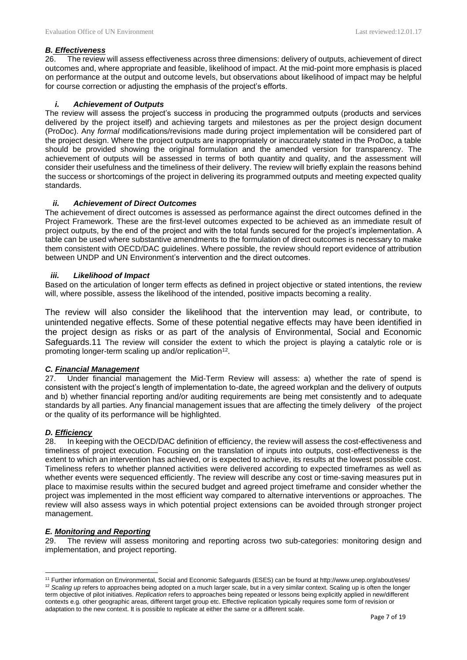## *B. Effectiveness*

26. The review will assess effectiveness across three dimensions: delivery of outputs, achievement of direct outcomes and, where appropriate and feasible, likelihood of impact. At the mid-point more emphasis is placed on performance at the output and outcome levels, but observations about likelihood of impact may be helpful for course correction or adjusting the emphasis of the project's efforts.

## *i. Achievement of Outputs*

The review will assess the project's success in producing the programmed outputs (products and services delivered by the project itself) and achieving targets and milestones as per the project design document (ProDoc). Any *formal* modifications/revisions made during project implementation will be considered part of the project design. Where the project outputs are inappropriately or inaccurately stated in the ProDoc, a table should be provided showing the original formulation and the amended version for transparency. The achievement of outputs will be assessed in terms of both quantity and quality, and the assessment will consider their usefulness and the timeliness of their delivery. The review will briefly explain the reasons behind the success or shortcomings of the project in delivering its programmed outputs and meeting expected quality standards.

### *ii. Achievement of Direct Outcomes*

The achievement of direct outcomes is assessed as performance against the direct outcomes defined in the Project Framework. These are the first-level outcomes expected to be achieved as an immediate result of project outputs, by the end of the project and with the total funds secured for the project's implementation. A table can be used where substantive amendments to the formulation of direct outcomes is necessary to make them consistent with OECD/DAC guidelines. Where possible, the review should report evidence of attribution between UNDP and UN Environment's intervention and the direct outcomes.

#### *iii. Likelihood of Impact*

Based on the articulation of longer term effects as defined in project objective or stated intentions, the review will, where possible, assess the likelihood of the intended, positive impacts becoming a reality.

The review will also consider the likelihood that the intervention may lead, or contribute, to unintended negative effects. Some of these potential negative effects may have been identified in the project design as risks or as part of the analysis of Environmental, Social and Economic Safeguards.11 The review will consider the extent to which the project is playing a catalytic role or is promoting longer-term scaling up and/or replication<sup>12</sup>.

# *C. Financial Management*

27. Under financial management the Mid-Term Review will assess: a) whether the rate of spend is consistent with the project's length of implementation to-date, the agreed workplan and the delivery of outputs and b) whether financial reporting and/or auditing requirements are being met consistently and to adequate standards by all parties. Any financial management issues that are affecting the timely delivery of the project or the quality of its performance will be highlighted.

# *D. Efficiency*

28. In keeping with the OECD/DAC definition of efficiency, the review will assess the cost-effectiveness and timeliness of project execution. Focusing on the translation of inputs into outputs, cost-effectiveness is the extent to which an intervention has achieved, or is expected to achieve, its results at the lowest possible cost. Timeliness refers to whether planned activities were delivered according to expected timeframes as well as whether events were sequenced efficiently. The review will describe any cost or time-saving measures put in place to maximise results within the secured budget and agreed project timeframe and consider whether the project was implemented in the most efficient way compared to alternative interventions or approaches. The review will also assess ways in which potential project extensions can be avoided through stronger project management.

#### *E. Monitoring and Reporting*

29. The review will assess monitoring and reporting across two sub-categories: monitoring design and implementation, and project reporting.

<sup>11</sup> Further information on Environmental, Social and Economic Safeguards (ESES) can be found at http://www.unep.org/about/eses/ <sup>12</sup> Scaling up refers to approaches being adopted on a much larger scale, but in a very similar context. Scaling up is often the longer term objective of pilot initiatives. *Replication* refers to approaches being repeated or lessons being explicitly applied in new/different contexts e.g. other geographic areas, different target group etc. Effective replication typically requires some form of revision or adaptation to the new context. It is possible to replicate at either the same or a different scale.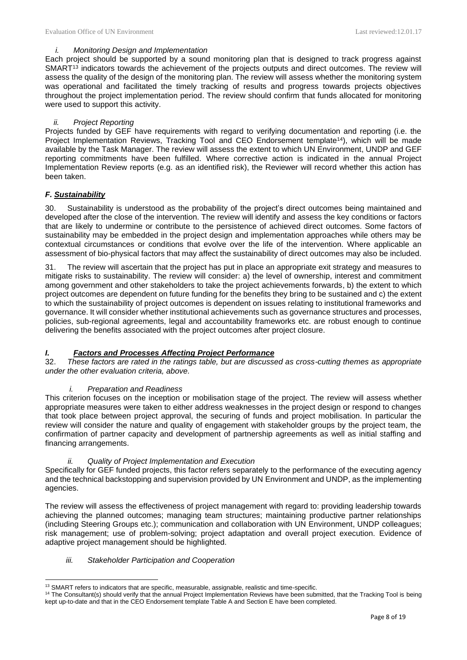#### *i. Monitoring Design and Implementation*

Each project should be supported by a sound monitoring plan that is designed to track progress against SMART<sup>13</sup> indicators towards the achievement of the projects outputs and direct outcomes. The review will assess the quality of the design of the monitoring plan. The review will assess whether the monitoring system was operational and facilitated the timely tracking of results and progress towards projects objectives throughout the project implementation period. The review should confirm that funds allocated for monitoring were used to support this activity.

### *ii. Project Reporting*

Projects funded by GEF have requirements with regard to verifying documentation and reporting (i.e. the Project Implementation Reviews, Tracking Tool and CEO Endorsement template<sup>14</sup>), which will be made available by the Task Manager. The review will assess the extent to which UN Environment, UNDP and GEF reporting commitments have been fulfilled. Where corrective action is indicated in the annual Project Implementation Review reports (e.g. as an identified risk), the Reviewer will record whether this action has been taken.

### *F. Sustainability*

30. Sustainability is understood as the probability of the project's direct outcomes being maintained and developed after the close of the intervention. The review will identify and assess the key conditions or factors that are likely to undermine or contribute to the persistence of achieved direct outcomes. Some factors of sustainability may be embedded in the project design and implementation approaches while others may be contextual circumstances or conditions that evolve over the life of the intervention. Where applicable an assessment of bio-physical factors that may affect the sustainability of direct outcomes may also be included.

31. The review will ascertain that the project has put in place an appropriate exit strategy and measures to mitigate risks to sustainability. The review will consider: a) the level of ownership, interest and commitment among government and other stakeholders to take the project achievements forwards, b) the extent to which project outcomes are dependent on future funding for the benefits they bring to be sustained and c) the extent to which the sustainability of project outcomes is dependent on issues relating to institutional frameworks and governance. It will consider whether institutional achievements such as governance structures and processes, policies, sub-regional agreements, legal and accountability frameworks etc. are robust enough to continue delivering the benefits associated with the project outcomes after project closure.

# *I. Factors and Processes Affecting Project Performance*

32. *These factors are rated in the ratings table, but are discussed as cross-cutting themes as appropriate under the other evaluation criteria, above.*

#### *i. Preparation and Readiness*

This criterion focuses on the inception or mobilisation stage of the project. The review will assess whether appropriate measures were taken to either address weaknesses in the project design or respond to changes that took place between project approval, the securing of funds and project mobilisation. In particular the review will consider the nature and quality of engagement with stakeholder groups by the project team, the confirmation of partner capacity and development of partnership agreements as well as initial staffing and financing arrangements.

#### *ii. Quality of Project Implementation and Execution*

Specifically for GEF funded projects, this factor refers separately to the performance of the executing agency and the technical backstopping and supervision provided by UN Environment and UNDP, as the implementing agencies.

The review will assess the effectiveness of project management with regard to: providing leadership towards achieving the planned outcomes; managing team structures; maintaining productive partner relationships (including Steering Groups etc.); communication and collaboration with UN Environment, UNDP colleagues; risk management; use of problem-solving; project adaptation and overall project execution. Evidence of adaptive project management should be highlighted.

#### *iii. Stakeholder Participation and Cooperation*

<sup>&</sup>lt;sup>13</sup> SMART refers to indicators that are specific, measurable, assignable, realistic and time-specific.

<sup>&</sup>lt;sup>14</sup> The Consultant(s) should verify that the annual Project Implementation Reviews have been submitted, that the Tracking Tool is being kept up-to-date and that in the CEO Endorsement template Table A and Section E have been completed.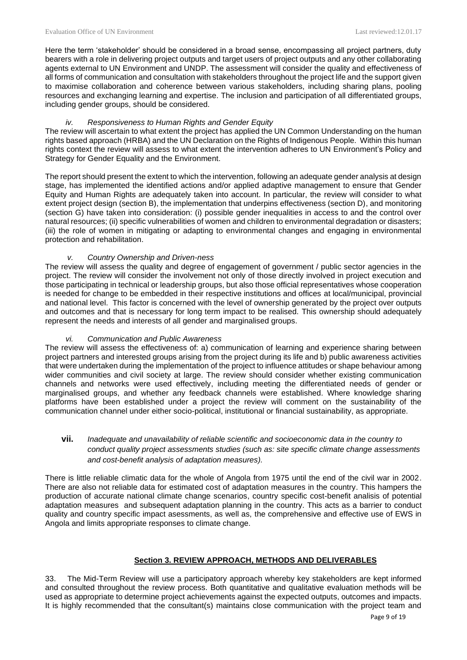Here the term 'stakeholder' should be considered in a broad sense, encompassing all project partners, duty bearers with a role in delivering project outputs and target users of project outputs and any other collaborating agents external to UN Environment and UNDP. The assessment will consider the quality and effectiveness of all forms of communication and consultation with stakeholders throughout the project life and the support given to maximise collaboration and coherence between various stakeholders, including sharing plans, pooling resources and exchanging learning and expertise. The inclusion and participation of all differentiated groups, including gender groups, should be considered.

#### *iv. Responsiveness to Human Rights and Gender Equity*

The review will ascertain to what extent the project has applied the UN Common Understanding on the human rights based approach (HRBA) and the UN Declaration on the Rights of Indigenous People. Within this human rights context the review will assess to what extent the intervention adheres to UN Environment's Policy and Strategy for Gender Equality and the Environment.

The report should present the extent to which the intervention, following an adequate gender analysis at design stage, has implemented the identified actions and/or applied adaptive management to ensure that Gender Equity and Human Rights are adequately taken into account. In particular, the review will consider to what extent project design (section B), the implementation that underpins effectiveness (section D), and monitoring (section G) have taken into consideration: (i) possible gender inequalities in access to and the control over natural resources; (ii) specific vulnerabilities of women and children to environmental degradation or disasters; (iii) the role of women in mitigating or adapting to environmental changes and engaging in environmental protection and rehabilitation.

### *v. Country Ownership and Driven-ness*

The review will assess the quality and degree of engagement of government / public sector agencies in the project. The review will consider the involvement not only of those directly involved in project execution and those participating in technical or leadership groups, but also those official representatives whose cooperation is needed for change to be embedded in their respective institutions and offices at local/municipal, provincial and national level. This factor is concerned with the level of ownership generated by the project over outputs and outcomes and that is necessary for long term impact to be realised. This ownership should adequately represent the needs and interests of all gender and marginalised groups.

# *vi. Communication and Public Awareness*

The review will assess the effectiveness of: a) communication of learning and experience sharing between project partners and interested groups arising from the project during its life and b) public awareness activities that were undertaken during the implementation of the project to influence attitudes or shape behaviour among wider communities and civil society at large. The review should consider whether existing communication channels and networks were used effectively, including meeting the differentiated needs of gender or marginalised groups, and whether any feedback channels were established. Where knowledge sharing platforms have been established under a project the review will comment on the sustainability of the communication channel under either socio-political, institutional or financial sustainability, as appropriate.

# **vii.** *Inadequate and unavailability of reliable scientific and socioeconomic data in the country to conduct quality project assessments studies (such as: site specific climate change assessments and cost-benefit analysis of adaptation measures).*

There is little reliable climatic data for the whole of Angola from 1975 until the end of the civil war in 2002. There are also not reliable data for estimated cost of adaptation measures in the country. This hampers the production of accurate national climate change scenarios, country specific cost-benefit analisis of potential adaptation measures and subsequent adaptation planning in the country. This acts as a barrier to conduct quality and country specific impact asessments, as well as, the comprehensive and effective use of EWS in Angola and limits appropriate responses to climate change.

# **Section 3. REVIEW APPROACH, METHODS AND DELIVERABLES**

33. The Mid-Term Review will use a participatory approach whereby key stakeholders are kept informed and consulted throughout the review process. Both quantitative and qualitative evaluation methods will be used as appropriate to determine project achievements against the expected outputs, outcomes and impacts. It is highly recommended that the consultant(s) maintains close communication with the project team and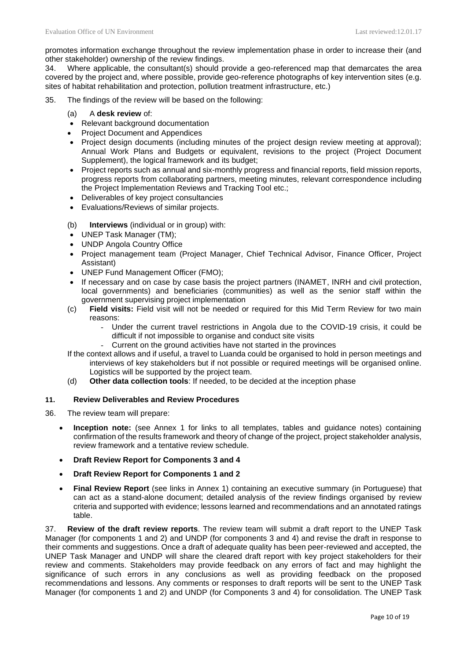promotes information exchange throughout the review implementation phase in order to increase their (and other stakeholder) ownership of the review findings.

34. Where applicable, the consultant(s) should provide a geo-referenced map that demarcates the area covered by the project and, where possible, provide geo-reference photographs of key intervention sites (e.g. sites of habitat rehabilitation and protection, pollution treatment infrastructure, etc.)

- 35. The findings of the review will be based on the following:
	- (a) A **desk review** of:
	- Relevant background documentation
	- Project Document and Appendices
	- Project design documents (including minutes of the project design review meeting at approval); Annual Work Plans and Budgets or equivalent, revisions to the project (Project Document Supplement), the logical framework and its budget:
	- Project reports such as annual and six-monthly progress and financial reports, field mission reports, progress reports from collaborating partners, meeting minutes, relevant correspondence including the Project Implementation Reviews and Tracking Tool etc.;
	- Deliverables of key project consultancies
	- Evaluations/Reviews of similar projects.
	- (b) **Interviews** (individual or in group) with:
	- UNEP Task Manager (TM);
	- UNDP Angola Country Office
	- Project management team (Project Manager, Chief Technical Advisor, Finance Officer, Project Assistant)
	- UNEP Fund Management Officer (FMO);
	- If necessary and on case by case basis the project partners (INAMET, INRH and civil protection, local governments) and beneficiaries (communities) as well as the senior staff within the government supervising project implementation
	- (c) **Field visits:** Field visit will not be needed or required for this Mid Term Review for two main reasons:
		- Under the current travel restrictions in Angola due to the COVID-19 crisis, it could be difficult if not impossible to organise and conduct site visits
		- Current on the ground activities have not started in the provinces
	- If the context allows and if useful, a travel to Luanda could be organised to hold in person meetings and interviews of key stakeholders but if not possible or required meetings will be organised online. Logistics will be supported by the project team.
	- (d) **Other data collection tools**: If needed, to be decided at the inception phase

#### **11. Review Deliverables and Review Procedures**

- 36. The review team will prepare:
	- **Inception note:** (see Annex 1 for links to all templates, tables and guidance notes) containing confirmation of the results framework and theory of change of the project, project stakeholder analysis, review framework and a tentative review schedule.
	- **Draft Review Report for Components 3 and 4**
	- **Draft Review Report for Components 1 and 2**
	- **Final Review Report** (see links in Annex 1) containing an executive summary (in Portuguese) that can act as a stand-alone document; detailed analysis of the review findings organised by review criteria and supported with evidence; lessons learned and recommendations and an annotated ratings table.

37. **Review of the draft review reports**. The review team will submit a draft report to the UNEP Task Manager (for components 1 and 2) and UNDP (for components 3 and 4) and revise the draft in response to their comments and suggestions. Once a draft of adequate quality has been peer-reviewed and accepted, the UNEP Task Manager and UNDP will share the cleared draft report with key project stakeholders for their review and comments. Stakeholders may provide feedback on any errors of fact and may highlight the significance of such errors in any conclusions as well as providing feedback on the proposed recommendations and lessons. Any comments or responses to draft reports will be sent to the UNEP Task Manager (for components 1 and 2) and UNDP (for Components 3 and 4) for consolidation. The UNEP Task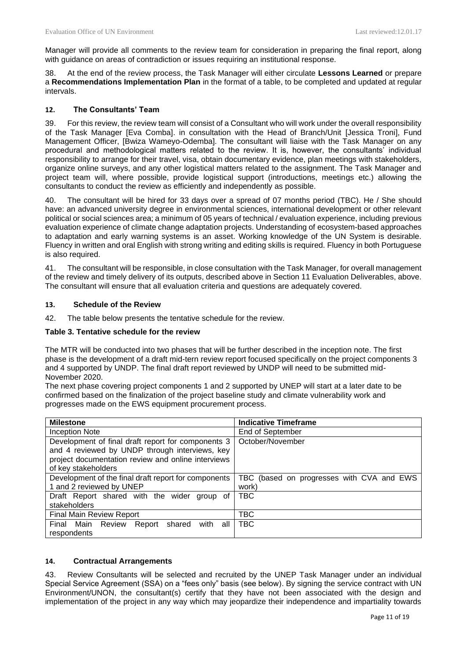Manager will provide all comments to the review team for consideration in preparing the final report, along with guidance on areas of contradiction or issues requiring an institutional response.

38. At the end of the review process, the Task Manager will either circulate **Lessons Learned** or prepare a **Recommendations Implementation Plan** in the format of a table, to be completed and updated at regular intervals.

## **12. The Consultants' Team**

39. For this review, the review team will consist of a Consultant who will work under the overall responsibility of the Task Manager [Eva Comba]. in consultation with the Head of Branch/Unit [Jessica Troni], Fund Management Officer, [Bwiza Wameyo-Odemba]. The consultant will liaise with the Task Manager on any procedural and methodological matters related to the review. It is, however, the consultants' individual responsibility to arrange for their travel, visa, obtain documentary evidence, plan meetings with stakeholders, organize online surveys, and any other logistical matters related to the assignment. The Task Manager and project team will, where possible, provide logistical support (introductions, meetings etc.) allowing the consultants to conduct the review as efficiently and independently as possible.

40. The consultant will be hired for 33 days over a spread of 07 months period (TBC). He / She should have: an advanced university degree in environmental sciences, international development or other relevant political or social sciences area; a minimum of 05 years of technical / evaluation experience, including previous evaluation experience of climate change adaptation projects. Understanding of ecosystem-based approaches to adaptation and early warning systems is an asset. Working knowledge of the UN System is desirable. Fluency in written and oral English with strong writing and editing skills is required. Fluency in both Portuguese is also required.

41. The consultant will be responsible, in close consultation with the Task Manager, for overall management of the review and timely delivery of its outputs, described above in Section 11 Evaluation Deliverables, above. The consultant will ensure that all evaluation criteria and questions are adequately covered.

# **13. Schedule of the Review**

42. The table below presents the tentative schedule for the review.

#### **Table 3. Tentative schedule for the review**

The MTR will be conducted into two phases that will be further described in the inception note. The first phase is the development of a draft mid-tern review report focused specifically on the project components 3 and 4 supported by UNDP. The final draft report reviewed by UNDP will need to be submitted mid-November 2020.

The next phase covering project components 1 and 2 supported by UNEP will start at a later date to be confirmed based on the finalization of the project baseline study and climate vulnerability work and progresses made on the EWS equipment procurement process.

| <b>Milestone</b>                                                                                     | <b>Indicative Timeframe</b>               |  |
|------------------------------------------------------------------------------------------------------|-------------------------------------------|--|
| Inception Note                                                                                       | End of September                          |  |
| Development of final draft report for components 3<br>and 4 reviewed by UNDP through interviews, key | October/November                          |  |
| project documentation review and online interviews<br>of key stakeholders                            |                                           |  |
| Development of the final draft report for components                                                 | TBC (based on progresses with CVA and EWS |  |
| 1 and 2 reviewed by UNEP                                                                             | work)                                     |  |
| Draft Report shared with the wider group of<br>stakeholders                                          | TBC                                       |  |
| <b>Final Main Review Report</b>                                                                      | TBC                                       |  |
| Final Main Review<br>with<br>Report shared<br>all<br>respondents                                     | <b>TBC</b>                                |  |

#### **14. Contractual Arrangements**

43. Review Consultants will be selected and recruited by the UNEP Task Manager under an individual Special Service Agreement (SSA) on a "fees only" basis (see below). By signing the service contract with UN Environment/UNON, the consultant(s) certify that they have not been associated with the design and implementation of the project in any way which may jeopardize their independence and impartiality towards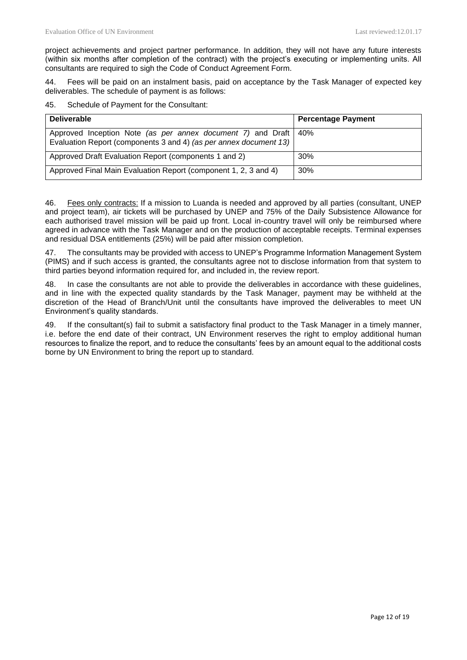project achievements and project partner performance. In addition, they will not have any future interests (within six months after completion of the contract) with the project's executing or implementing units. All consultants are required to sigh the Code of Conduct Agreement Form.

44. Fees will be paid on an instalment basis, paid on acceptance by the Task Manager of expected key deliverables. The schedule of payment is as follows:

45. Schedule of Payment for the Consultant:

| <b>Deliverable</b>                                                                                                                            | <b>Percentage Payment</b> |
|-----------------------------------------------------------------------------------------------------------------------------------------------|---------------------------|
| Approved Inception Note <i>(as per annex document 7)</i> and Draft   40%<br>Evaluation Report (components 3 and 4) (as per annex document 13) |                           |
| Approved Draft Evaluation Report (components 1 and 2)                                                                                         | 30%                       |
| Approved Final Main Evaluation Report (component 1, 2, 3 and 4)                                                                               | 30%                       |

46. Fees only contracts: If a mission to Luanda is needed and approved by all parties (consultant, UNEP and project team), air tickets will be purchased by UNEP and 75% of the Daily Subsistence Allowance for each authorised travel mission will be paid up front. Local in-country travel will only be reimbursed where agreed in advance with the Task Manager and on the production of acceptable receipts. Terminal expenses and residual DSA entitlements (25%) will be paid after mission completion.

47. The consultants may be provided with access to UNEP's Programme Information Management System (PIMS) and if such access is granted, the consultants agree not to disclose information from that system to third parties beyond information required for, and included in, the review report.

48. In case the consultants are not able to provide the deliverables in accordance with these guidelines, and in line with the expected quality standards by the Task Manager, payment may be withheld at the discretion of the Head of Branch/Unit until the consultants have improved the deliverables to meet UN Environment's quality standards.

49. If the consultant(s) fail to submit a satisfactory final product to the Task Manager in a timely manner, i.e. before the end date of their contract, UN Environment reserves the right to employ additional human resources to finalize the report, and to reduce the consultants' fees by an amount equal to the additional costs borne by UN Environment to bring the report up to standard.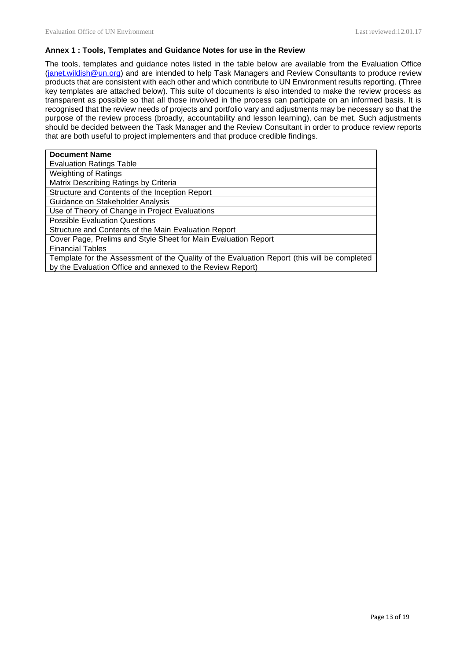#### **Annex 1 : Tools, Templates and Guidance Notes for use in the Review**

The tools, templates and guidance notes listed in the table below are available from the Evaluation Office [\(janet.wildish@un.org\)](mailto:janet.wildish@un.org) and are intended to help Task Managers and Review Consultants to produce review products that are consistent with each other and which contribute to UN Environment results reporting. (Three key templates are attached below). This suite of documents is also intended to make the review process as transparent as possible so that all those involved in the process can participate on an informed basis. It is recognised that the review needs of projects and portfolio vary and adjustments may be necessary so that the purpose of the review process (broadly, accountability and lesson learning), can be met. Such adjustments should be decided between the Task Manager and the Review Consultant in order to produce review reports that are both useful to project implementers and that produce credible findings.

| <b>Document Name</b>                                                                                                                                      |
|-----------------------------------------------------------------------------------------------------------------------------------------------------------|
| <b>Evaluation Ratings Table</b>                                                                                                                           |
| <b>Weighting of Ratings</b>                                                                                                                               |
| Matrix Describing Ratings by Criteria                                                                                                                     |
| Structure and Contents of the Inception Report                                                                                                            |
| Guidance on Stakeholder Analysis                                                                                                                          |
| Use of Theory of Change in Project Evaluations                                                                                                            |
| <b>Possible Evaluation Questions</b>                                                                                                                      |
| Structure and Contents of the Main Evaluation Report                                                                                                      |
| Cover Page, Prelims and Style Sheet for Main Evaluation Report                                                                                            |
| <b>Financial Tables</b>                                                                                                                                   |
| Template for the Assessment of the Quality of the Evaluation Report (this will be completed<br>by the Evaluation Office and annexed to the Review Report) |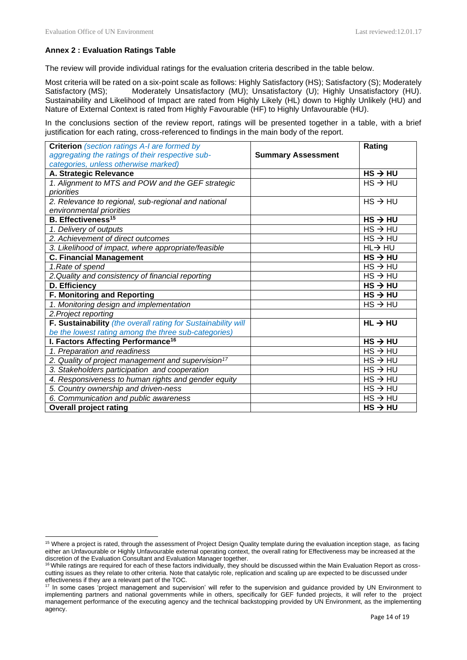# **Annex 2 : Evaluation Ratings Table**

The review will provide individual ratings for the evaluation criteria described in the table below.

Most criteria will be rated on a six-point scale as follows: Highly Satisfactory (HS); Satisfactory (S); Moderately Satisfactory (MS); Moderately Unsatisfactory (MU); Unsatisfactory (U); Highly Unsatisfactory (HU). Sustainability and Likelihood of Impact are rated from Highly Likely (HL) down to Highly Unlikely (HU) and Nature of External Context is rated from Highly Favourable (HF) to Highly Unfavourable (HU).

In the conclusions section of the review report, ratings will be presented together in a table, with a brief justification for each rating, cross-referenced to findings in the main body of the report.

| <b>Criterion</b> (section ratings A-I are formed by            |                           | Rating              |
|----------------------------------------------------------------|---------------------------|---------------------|
| aggregating the ratings of their respective sub-               | <b>Summary Assessment</b> |                     |
| categories, unless otherwise marked)                           |                           |                     |
| A. Strategic Relevance                                         |                           | $HS \rightarrow HU$ |
| 1. Alignment to MTS and POW and the GEF strategic              |                           | $HS \rightarrow HU$ |
| priorities                                                     |                           |                     |
| 2. Relevance to regional, sub-regional and national            |                           | $HS \rightarrow HU$ |
| environmental priorities                                       |                           |                     |
| <b>B.</b> Effectiveness <sup>15</sup>                          |                           | $HS \rightarrow HU$ |
| 1. Delivery of outputs                                         |                           | $HS \rightarrow HU$ |
| 2. Achievement of direct outcomes                              |                           | $HS \rightarrow HU$ |
| 3. Likelihood of impact, where appropriate/feasible            |                           | $HL \rightarrow HU$ |
| <b>C. Financial Management</b>                                 |                           | $HS \rightarrow HU$ |
| 1.Rate of spend                                                |                           | $HS \rightarrow HU$ |
| 2. Quality and consistency of financial reporting              |                           | $HS \rightarrow HU$ |
| D. Efficiency                                                  |                           | $HS \rightarrow HU$ |
| <b>F. Monitoring and Reporting</b>                             |                           | $HS \rightarrow HU$ |
| 1. Monitoring design and implementation                        |                           | $HS \rightarrow HU$ |
| 2. Project reporting                                           |                           |                     |
| F. Sustainability (the overall rating for Sustainability will  |                           | $HL \rightarrow HU$ |
| be the lowest rating among the three sub-categories)           |                           |                     |
| <b>I. Factors Affecting Performance<sup>16</sup></b>           |                           | $HS \rightarrow HU$ |
| 1. Preparation and readiness                                   |                           | $HS \rightarrow HU$ |
| 2. Quality of project management and supervision <sup>17</sup> |                           | $HS \rightarrow HU$ |
| 3. Stakeholders participation and cooperation                  |                           | $HS \rightarrow HU$ |
| 4. Responsiveness to human rights and gender equity            |                           | $HS \rightarrow HU$ |
| 5. Country ownership and driven-ness                           |                           | $HS \rightarrow HU$ |
| 6. Communication and public awareness                          |                           | $HS \rightarrow HU$ |
| <b>Overall project rating</b>                                  |                           | $HS \rightarrow HU$ |

<sup>&</sup>lt;sup>15</sup> Where a project is rated, through the assessment of Project Design Quality template during the evaluation inception stage, as facing either an Unfavourable or Highly Unfavourable external operating context, the overall rating for Effectiveness may be increased at the discretion of the Evaluation Consultant and Evaluation Manager together.

 $16$  While ratings are required for each of these factors individually, they should be discussed within the Main Evaluation Report as crosscutting issues as they relate to other criteria. Note that catalytic role, replication and scaling up are expected to be discussed under effectiveness if they are a relevant part of the TOC.

<sup>17</sup> In some cases 'project management and supervision' will refer to the supervision and guidance provided by UN Environment to implementing partners and national governments while in others, specifically for GEF funded projects, it will refer to the project management performance of the executing agency and the technical backstopping provided by UN Environment, as the implementing agency.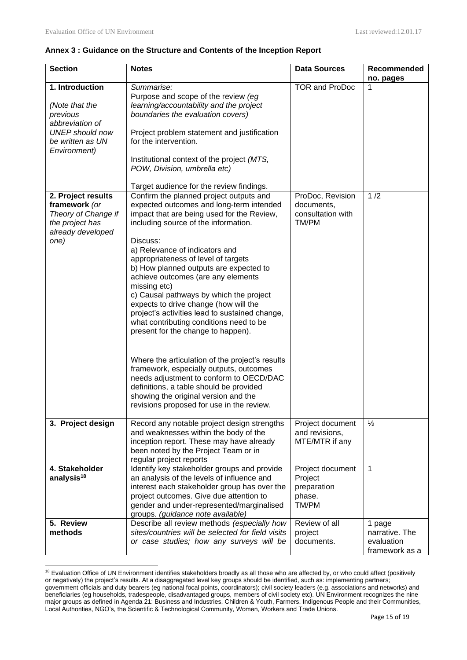### **Annex 3 : Guidance on the Structure and Contents of the Inception Report**

| <b>Section</b>                                                                                                                 | <b>Notes</b>                                                                                                                                                                                                                                                                                                                                                                                                                                                                                                                                                                                                                                                                                                                                                                                                                                                   | <b>Data Sources</b>                                           | Recommended<br>no. pages                                 |
|--------------------------------------------------------------------------------------------------------------------------------|----------------------------------------------------------------------------------------------------------------------------------------------------------------------------------------------------------------------------------------------------------------------------------------------------------------------------------------------------------------------------------------------------------------------------------------------------------------------------------------------------------------------------------------------------------------------------------------------------------------------------------------------------------------------------------------------------------------------------------------------------------------------------------------------------------------------------------------------------------------|---------------------------------------------------------------|----------------------------------------------------------|
| 1. Introduction<br>(Note that the<br>previous<br>abbreviation of<br><b>UNEP</b> should now<br>be written as UN<br>Environment) | Summarise:<br>Purpose and scope of the review (eg<br>learning/accountability and the project<br>boundaries the evaluation covers)<br>Project problem statement and justification<br>for the intervention.<br>Institutional context of the project (MTS,<br>POW, Division, umbrella etc)<br>Target audience for the review findings.                                                                                                                                                                                                                                                                                                                                                                                                                                                                                                                            | <b>TOR and ProDoc</b>                                         | 1                                                        |
| 2. Project results<br>framework (or<br>Theory of Change if<br>the project has<br>already developed<br>one)                     | Confirm the planned project outputs and<br>expected outcomes and long-term intended<br>impact that are being used for the Review,<br>including source of the information.<br>Discuss:<br>a) Relevance of indicators and<br>appropriateness of level of targets<br>b) How planned outputs are expected to<br>achieve outcomes (are any elements<br>missing etc)<br>c) Causal pathways by which the project<br>expects to drive change (how will the<br>project's activities lead to sustained change,<br>what contributing conditions need to be<br>present for the change to happen).<br>Where the articulation of the project's results<br>framework, especially outputs, outcomes<br>needs adjustment to conform to OECD/DAC<br>definitions, a table should be provided<br>showing the original version and the<br>revisions proposed for use in the review. | ProDoc, Revision<br>documents,<br>consultation with<br>TM/PM  | 1/2                                                      |
| 3. Project design                                                                                                              | Record any notable project design strengths<br>and weaknesses within the body of the<br>inception report. These may have already<br>been noted by the Project Team or in<br>regular project reports                                                                                                                                                                                                                                                                                                                                                                                                                                                                                                                                                                                                                                                            | Project document<br>and revisions,<br>MTE/MTR if any          | $\frac{1}{2}$                                            |
| 4. Stakeholder<br>analysis <sup>18</sup>                                                                                       | Identify key stakeholder groups and provide<br>an analysis of the levels of influence and<br>interest each stakeholder group has over the<br>project outcomes. Give due attention to<br>gender and under-represented/marginalised<br>groups. (guidance note available)                                                                                                                                                                                                                                                                                                                                                                                                                                                                                                                                                                                         | Project document<br>Project<br>preparation<br>phase.<br>TM/PM | 1                                                        |
| 5. Review<br>methods                                                                                                           | Describe all review methods (especially how<br>sites/countries will be selected for field visits<br>or case studies; how any surveys will be                                                                                                                                                                                                                                                                                                                                                                                                                                                                                                                                                                                                                                                                                                                   | Review of all<br>project<br>documents.                        | 1 page<br>narrative. The<br>evaluation<br>framework as a |

<sup>&</sup>lt;sup>18</sup> Evaluation Office of UN Environment identifies stakeholders broadly as all those who are affected by, or who could affect (positively or negatively) the project's results. At a disaggregated level key groups should be identified, such as: implementing partners; government officials and duty bearers (eg national focal points, coordinators); civil society leaders (e.g. associations and networks) and beneficiaries (eg households, tradespeople, disadvantaged groups, members of civil society etc). UN Environment recognizes the nine major groups as defined in Agenda 21: Business and Industries, Children & Youth, Farmers, Indigenous People and their Communities, Local Authorities, NGO's, the Scientific & Technological Community, Women, Workers and Trade Unions.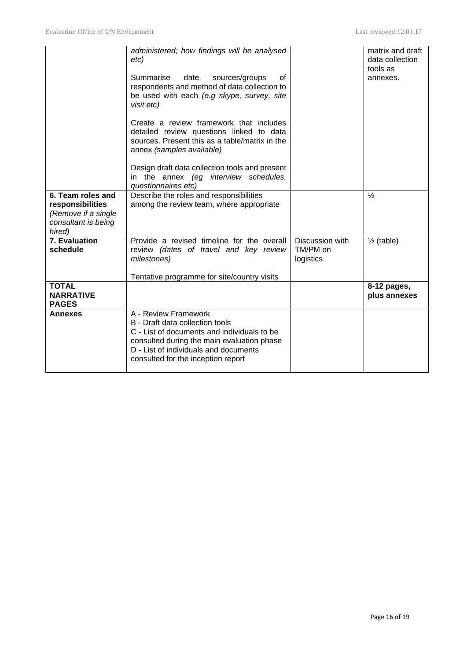|                                                  | administered; how findings will be analysed<br>etc)<br>Summarise<br>date<br>sources/groups<br>οf<br>respondents and method of data collection to<br>be used with each (e.g skype, survey, site<br>visit etc)<br>Create a review framework that includes<br>detailed review questions linked to data<br>sources. Present this as a table/matrix in the<br>annex (samples available)<br>Design draft data collection tools and present<br>in the annex (eg interview schedules,<br>questionnaires etc) |                                          | matrix and draft<br>data collection<br>tools as<br>annexes. |
|--------------------------------------------------|------------------------------------------------------------------------------------------------------------------------------------------------------------------------------------------------------------------------------------------------------------------------------------------------------------------------------------------------------------------------------------------------------------------------------------------------------------------------------------------------------|------------------------------------------|-------------------------------------------------------------|
| 6. Team roles and<br>responsibilities            | Describe the roles and responsibilities<br>among the review team, where appropriate                                                                                                                                                                                                                                                                                                                                                                                                                  |                                          | $\frac{1}{2}$                                               |
| (Remove if a single                              |                                                                                                                                                                                                                                                                                                                                                                                                                                                                                                      |                                          |                                                             |
| consultant is being<br>hired)                    |                                                                                                                                                                                                                                                                                                                                                                                                                                                                                                      |                                          |                                                             |
| 7. Evaluation<br>schedule                        | Provide a revised timeline for the overall<br>review (dates of travel and key review<br>milestones)                                                                                                                                                                                                                                                                                                                                                                                                  | Discussion with<br>TM/PM on<br>logistics | $\frac{1}{2}$ (table)                                       |
|                                                  | Tentative programme for site/country visits                                                                                                                                                                                                                                                                                                                                                                                                                                                          |                                          |                                                             |
| <b>TOTAL</b><br><b>NARRATIVE</b><br><b>PAGES</b> |                                                                                                                                                                                                                                                                                                                                                                                                                                                                                                      |                                          | 8-12 pages,<br>plus annexes                                 |
| <b>Annexes</b>                                   | A - Review Framework<br>B - Draft data collection tools<br>C - List of documents and individuals to be<br>consulted during the main evaluation phase<br>D - List of individuals and documents<br>consulted for the inception report                                                                                                                                                                                                                                                                  |                                          |                                                             |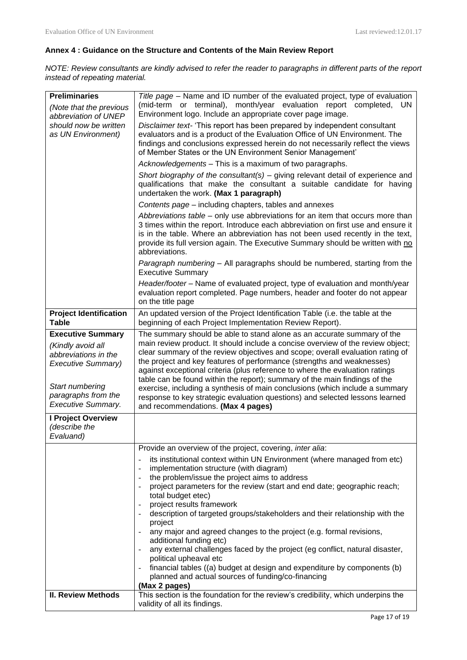# **Annex 4 : Guidance on the Structure and Contents of the Main Review Report**

*NOTE: Review consultants are kindly advised to refer the reader to paragraphs in different parts of the report instead of repeating material.*

| <b>Preliminaries</b>                          | Title page - Name and ID number of the evaluated project, type of evaluation                                                                                                                                                                                             |
|-----------------------------------------------|--------------------------------------------------------------------------------------------------------------------------------------------------------------------------------------------------------------------------------------------------------------------------|
| (Note that the previous                       | (mid-term or terminal), month/year evaluation report completed, UN                                                                                                                                                                                                       |
| abbreviation of UNEP                          | Environment logo. Include an appropriate cover page image.                                                                                                                                                                                                               |
| should now be written                         | Disclaimer text- 'This report has been prepared by independent consultant                                                                                                                                                                                                |
| as UN Environment)                            | evaluators and is a product of the Evaluation Office of UN Environment. The                                                                                                                                                                                              |
|                                               | findings and conclusions expressed herein do not necessarily reflect the views<br>of Member States or the UN Environment Senior Management'                                                                                                                              |
|                                               | Acknowledgements - This is a maximum of two paragraphs.                                                                                                                                                                                                                  |
|                                               | Short biography of the consultant(s) – giving relevant detail of experience and                                                                                                                                                                                          |
|                                               | qualifications that make the consultant a suitable candidate for having<br>undertaken the work. (Max 1 paragraph)                                                                                                                                                        |
|                                               | Contents page – including chapters, tables and annexes                                                                                                                                                                                                                   |
|                                               | Abbreviations table – only use abbreviations for an item that occurs more than                                                                                                                                                                                           |
|                                               | 3 times within the report. Introduce each abbreviation on first use and ensure it<br>is in the table. Where an abbreviation has not been used recently in the text,<br>provide its full version again. The Executive Summary should be written with no<br>abbreviations. |
|                                               | Paragraph numbering - All paragraphs should be numbered, starting from the<br><b>Executive Summary</b>                                                                                                                                                                   |
|                                               | Header/footer - Name of evaluated project, type of evaluation and month/year<br>evaluation report completed. Page numbers, header and footer do not appear<br>on the title page                                                                                          |
| <b>Project Identification</b><br><b>Table</b> | An updated version of the Project Identification Table (i.e. the table at the<br>beginning of each Project Implementation Review Report).                                                                                                                                |
| <b>Executive Summary</b>                      | The summary should be able to stand alone as an accurate summary of the                                                                                                                                                                                                  |
| (Kindly avoid all                             | main review product. It should include a concise overview of the review object;                                                                                                                                                                                          |
| abbreviations in the                          | clear summary of the review objectives and scope; overall evaluation rating of<br>the project and key features of performance (strengths and weaknesses)                                                                                                                 |
| Executive Summary)                            | against exceptional criteria (plus reference to where the evaluation ratings                                                                                                                                                                                             |
|                                               | table can be found within the report); summary of the main findings of the                                                                                                                                                                                               |
| Start numbering<br>paragraphs from the        | exercise, including a synthesis of main conclusions (which include a summary                                                                                                                                                                                             |
| <b>Executive Summary.</b>                     | response to key strategic evaluation questions) and selected lessons learned<br>and recommendations. (Max 4 pages)                                                                                                                                                       |
| I Project Overview                            |                                                                                                                                                                                                                                                                          |
| (describe the                                 |                                                                                                                                                                                                                                                                          |
| Evaluand)                                     |                                                                                                                                                                                                                                                                          |
|                                               | Provide an overview of the project, covering, inter alia:                                                                                                                                                                                                                |
|                                               | its institutional context within UN Environment (where managed from etc)                                                                                                                                                                                                 |
|                                               | implementation structure (with diagram)<br>the problem/issue the project aims to address                                                                                                                                                                                 |
|                                               | project parameters for the review (start and end date; geographic reach;                                                                                                                                                                                                 |
|                                               | total budget etec)                                                                                                                                                                                                                                                       |
|                                               | project results framework                                                                                                                                                                                                                                                |
|                                               | description of targeted groups/stakeholders and their relationship with the<br>project                                                                                                                                                                                   |
|                                               | any major and agreed changes to the project (e.g. formal revisions,                                                                                                                                                                                                      |
|                                               | additional funding etc)<br>any external challenges faced by the project (eg conflict, natural disaster,                                                                                                                                                                  |
|                                               | political upheaval etc                                                                                                                                                                                                                                                   |
|                                               | financial tables ((a) budget at design and expenditure by components (b)                                                                                                                                                                                                 |
|                                               | planned and actual sources of funding/co-financing                                                                                                                                                                                                                       |
| <b>II. Review Methods</b>                     | (Max 2 pages)<br>This section is the foundation for the review's credibility, which underpins the                                                                                                                                                                        |
|                                               |                                                                                                                                                                                                                                                                          |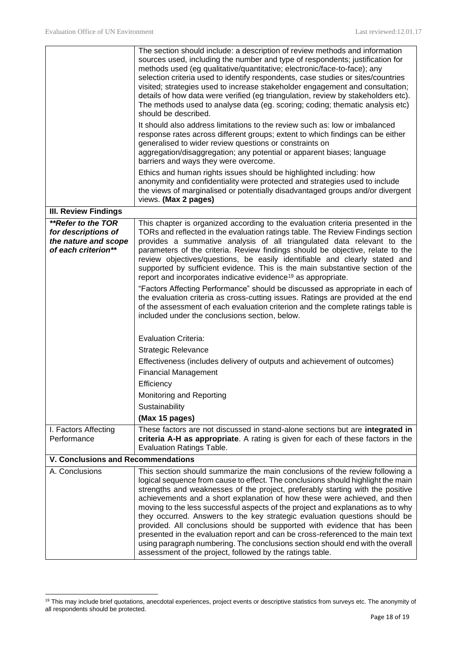|                                                                                          | The section should include: a description of review methods and information<br>sources used, including the number and type of respondents; justification for<br>methods used (eg qualitative/quantitative; electronic/face-to-face); any<br>selection criteria used to identify respondents, case studies or sites/countries<br>visited; strategies used to increase stakeholder engagement and consultation;<br>details of how data were verified (eg triangulation, review by stakeholders etc).<br>The methods used to analyse data (eg. scoring; coding; thematic analysis etc)<br>should be described.<br>It should also address limitations to the review such as: low or imbalanced                                                                                                                      |
|------------------------------------------------------------------------------------------|-----------------------------------------------------------------------------------------------------------------------------------------------------------------------------------------------------------------------------------------------------------------------------------------------------------------------------------------------------------------------------------------------------------------------------------------------------------------------------------------------------------------------------------------------------------------------------------------------------------------------------------------------------------------------------------------------------------------------------------------------------------------------------------------------------------------|
|                                                                                          | response rates across different groups; extent to which findings can be either<br>generalised to wider review questions or constraints on<br>aggregation/disaggregation; any potential or apparent biases; language<br>barriers and ways they were overcome.                                                                                                                                                                                                                                                                                                                                                                                                                                                                                                                                                    |
|                                                                                          | Ethics and human rights issues should be highlighted including: how<br>anonymity and confidentiality were protected and strategies used to include<br>the views of marginalised or potentially disadvantaged groups and/or divergent<br>views. (Max 2 pages)                                                                                                                                                                                                                                                                                                                                                                                                                                                                                                                                                    |
| <b>III. Review Findings</b>                                                              |                                                                                                                                                                                                                                                                                                                                                                                                                                                                                                                                                                                                                                                                                                                                                                                                                 |
| **Refer to the TOR<br>for descriptions of<br>the nature and scope<br>of each criterion** | This chapter is organized according to the evaluation criteria presented in the<br>TORs and reflected in the evaluation ratings table. The Review Findings section<br>provides a summative analysis of all triangulated data relevant to the<br>parameters of the criteria. Review findings should be objective, relate to the<br>review objectives/questions, be easily identifiable and clearly stated and<br>supported by sufficient evidence. This is the main substantive section of the<br>report and incorporates indicative evidence <sup>19</sup> as appropriate.                                                                                                                                                                                                                                      |
|                                                                                          | "Factors Affecting Performance" should be discussed as appropriate in each of<br>the evaluation criteria as cross-cutting issues. Ratings are provided at the end<br>of the assessment of each evaluation criterion and the complete ratings table is<br>included under the conclusions section, below.                                                                                                                                                                                                                                                                                                                                                                                                                                                                                                         |
|                                                                                          |                                                                                                                                                                                                                                                                                                                                                                                                                                                                                                                                                                                                                                                                                                                                                                                                                 |
|                                                                                          | <b>Evaluation Criteria:</b>                                                                                                                                                                                                                                                                                                                                                                                                                                                                                                                                                                                                                                                                                                                                                                                     |
|                                                                                          | <b>Strategic Relevance</b>                                                                                                                                                                                                                                                                                                                                                                                                                                                                                                                                                                                                                                                                                                                                                                                      |
|                                                                                          | Effectiveness (includes delivery of outputs and achievement of outcomes)<br><b>Financial Management</b>                                                                                                                                                                                                                                                                                                                                                                                                                                                                                                                                                                                                                                                                                                         |
|                                                                                          | Efficiency                                                                                                                                                                                                                                                                                                                                                                                                                                                                                                                                                                                                                                                                                                                                                                                                      |
|                                                                                          | Monitoring and Reporting                                                                                                                                                                                                                                                                                                                                                                                                                                                                                                                                                                                                                                                                                                                                                                                        |
|                                                                                          | Sustainability                                                                                                                                                                                                                                                                                                                                                                                                                                                                                                                                                                                                                                                                                                                                                                                                  |
|                                                                                          | (Max 15 pages)                                                                                                                                                                                                                                                                                                                                                                                                                                                                                                                                                                                                                                                                                                                                                                                                  |
| I. Factors Affecting                                                                     | These factors are not discussed in stand-alone sections but are integrated in                                                                                                                                                                                                                                                                                                                                                                                                                                                                                                                                                                                                                                                                                                                                   |
| Performance                                                                              | criteria A-H as appropriate. A rating is given for each of these factors in the<br><b>Evaluation Ratings Table.</b>                                                                                                                                                                                                                                                                                                                                                                                                                                                                                                                                                                                                                                                                                             |
| V. Conclusions and Recommendations                                                       |                                                                                                                                                                                                                                                                                                                                                                                                                                                                                                                                                                                                                                                                                                                                                                                                                 |
| A. Conclusions                                                                           | This section should summarize the main conclusions of the review following a<br>logical sequence from cause to effect. The conclusions should highlight the main<br>strengths and weaknesses of the project, preferably starting with the positive<br>achievements and a short explanation of how these were achieved, and then<br>moving to the less successful aspects of the project and explanations as to why<br>they occurred. Answers to the key strategic evaluation questions should be<br>provided. All conclusions should be supported with evidence that has been<br>presented in the evaluation report and can be cross-referenced to the main text<br>using paragraph numbering. The conclusions section should end with the overall<br>assessment of the project, followed by the ratings table. |

<sup>&</sup>lt;sup>19</sup> This may include brief quotations, anecdotal experiences, project events or descriptive statistics from surveys etc. The anonymity of all respondents should be protected.